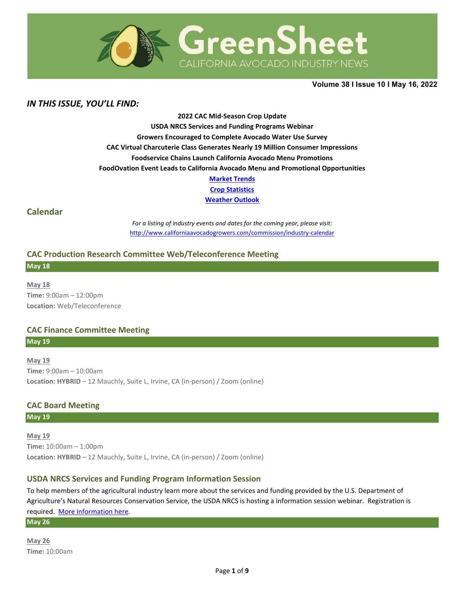

**Volume 38 Ι Issue 10 Ι May 16, 2022** 

# *IN THIS ISSUE, YOU'LL FIND:*

**2022 CAC Mid-Season Crop Update USDA NRCS Services and Funding Programs Webinar Growers Encouraged to Complete Avocado Water Use Survey CAC Virtual Charcuterie Class Generates Nearly 19 Million Consumer Impressions Foodservice Chains Launch California Avocado Menu Promotions FoodOvation Event Leads to California Avocado Menu and Promotional Opportunities [Market Trends](#page-4-0)**

**[Crop Statistics](#page-5-0)**

**[Weather Outlook](#page-6-0)**

## **Calendar**

*For a listing of industry events and dates for the coming year, please visit:*  <http://www.californiaavocadogrowers.com/commission/industry-calendar>

#### **CAC Production Research Committee Web/Teleconference Meeting**

**May 18**

**May 18 Time:** 9:00am – 12:00pm **Location:** Web/Teleconference

### **CAC Finance Committee Meeting**

**May 19**

**May 19 Time:** 9:00am – 10:00am **Location: HYBRID** – 12 Mauchly, Suite L, Irvine, CA (in-person) / Zoom (online)

### **CAC Board Meeting**

**May 19**

**May 19 Time:** 10:00am – 1:00pm **Location: HYBRID** – 12 Mauchly, Suite L, Irvine, CA (in-person) / Zoom (online)

### **USDA NRCS Services and Funding Program Information Session**

To help members of the agricultural industry learn more about the services and funding provided by the U.S. Department of Agriculture's Natural Resources Conservation Service, the USDA NRCS is hosting a information session webinar. Registration is required. [More information here.](https://www.californiaavocadogrowers.com/event/usda-nrcs-services-and-funding-program-information-session)

**May 26**

**May 26 Time:** 10:00am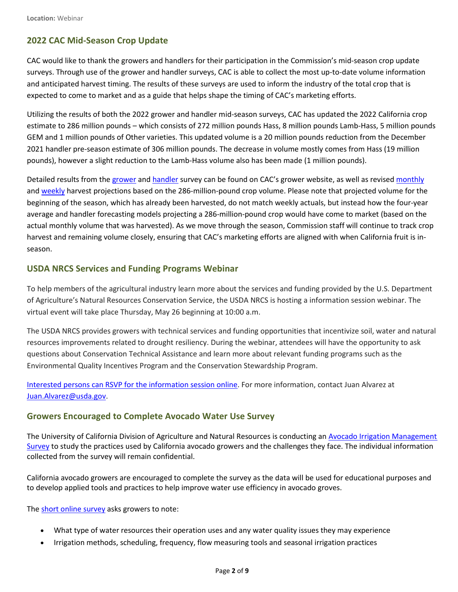# **2022 CAC Mid-Season Crop Update**

CAC would like to thank the growers and handlers for their participation in the Commission's mid-season crop update surveys. Through use of the grower and handler surveys, CAC is able to collect the most up-to-date volume information and anticipated harvest timing. The results of these surveys are used to inform the industry of the total crop that is expected to come to market and as a guide that helps shape the timing of CAC's marketing efforts.

Utilizing the results of both the 2022 grower and handler mid-season surveys, CAC has updated the 2022 California crop estimate to 286 million pounds – which consists of 272 million pounds Hass, 8 million pounds Lamb-Hass, 5 million pounds GEM and 1 million pounds of Other varieties. This updated volume is a 20 million pounds reduction from the December 2021 handler pre-season estimate of 306 million pounds. The decrease in volume mostly comes from Hass (19 million pounds), however a slight reduction to the Lamb-Hass volume also has been made (1 million pounds).

Detailed results from the [grower](https://www.californiaavocadogrowers.com/sites/default/files/2022-Mid-Season-Crop-Survey-Results.pdf) and [handler](https://www.californiaavocadogrowers.com/sites/default/files/AMRIC-Handler-Survey-Results-2022.pdf) survey can be found on CAC's grower website, as well as revised [monthly](https://www.californiaavocadogrowers.com/industry/crop-statistics/current-crop-estimates) and [weekly](https://www.californiaavocadogrowers.com/industry/crop-statistics/weekly-crop-projections) harvest projections based on the 286-million-pound crop volume. Please note that projected volume for the beginning of the season, which has already been harvested, do not match weekly actuals, but instead how the four-year average and handler forecasting models projecting a 286-million-pound crop would have come to market (based on the actual monthly volume that was harvested). As we move through the season, Commission staff will continue to track crop harvest and remaining volume closely, ensuring that CAC's marketing efforts are aligned with when California fruit is inseason.

# **USDA NRCS Services and Funding Programs Webinar**

To help members of the agricultural industry learn more about the services and funding provided by the U.S. Department of Agriculture's Natural Resources Conservation Service, the USDA NRCS is hosting a information session webinar. The virtual event will take place Thursday, May 26 beginning at 10:00 a.m.

The USDA NRCS provides growers with technical services and funding opportunities that incentivize soil, water and natural resources improvements related to drought resiliency. During the webinar, attendees will have the opportunity to ask questions about Conservation Technical Assistance and learn more about relevant funding programs such as the Environmental Quality Incentives Program and the Conservation Stewardship Program.

Interested persons can RSVP for the information session online. For more information, contact Juan Alvarez at [Juan.Alvarez@usda.gov.](mailto:Juan.Alvarez@usda.gov)

## **Growers Encouraged to Complete Avocado Water Use Survey**

The University of California Division of Agriculture and Natural Resources is conducting an [Avocado Irrigation Management](https://surveys.ucanr.edu/survey.cfm?surveynumber=36053)  [Survey](https://surveys.ucanr.edu/survey.cfm?surveynumber=36053) to study the practices used by California avocado growers and the challenges they face. The individual information collected from the survey will remain confidential.

California avocado growers are encouraged to complete the survey as the data will be used for educational purposes and to develop applied tools and practices to help improve water use efficiency in avocado groves.

The [short online survey](https://surveys.ucanr.edu/survey.cfm?surveynumber=36053) asks growers to note:

- What type of water resources their operation uses and any water quality issues they may experience
- Irrigation methods, scheduling, frequency, flow measuring tools and seasonal irrigation practices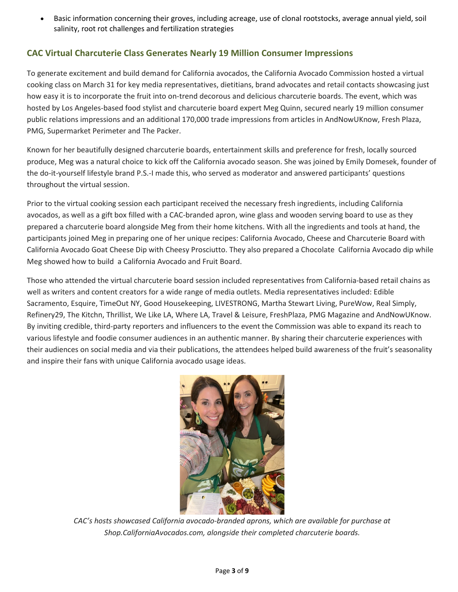• Basic information concerning their groves, including acreage, use of clonal rootstocks, average annual yield, soil salinity, root rot challenges and fertilization strategies

# **CAC Virtual Charcuterie Class Generates Nearly 19 Million Consumer Impressions**

To generate excitement and build demand for California avocados, the California Avocado Commission hosted a virtual cooking class on March 31 for key media representatives, dietitians, brand advocates and retail contacts showcasing just how easy it is to incorporate the fruit into on-trend decorous and delicious charcuterie boards. The event, which was hosted by Los Angeles-based food stylist and charcuterie board expert Meg Quinn, secured nearly 19 million consumer public relations impressions and an additional 170,000 trade impressions from articles in AndNowUKnow, Fresh Plaza, PMG, Supermarket Perimeter and The Packer.

Known for her beautifully designed charcuterie boards, entertainment skills and preference for fresh, locally sourced produce, Meg was a natural choice to kick off the California avocado season. She was joined by Emily Domesek, founder of the do-it-yourself lifestyle brand P.S.-I made this, who served as moderator and answered participants' questions throughout the virtual session.

Prior to the virtual cooking session each participant received the necessary fresh ingredients, including California avocados, as well as a gift box filled with a CAC-branded apron, wine glass and wooden serving board to use as they prepared a charcuterie board alongside Meg from their home kitchens. With all the ingredients and tools at hand, the participants joined Meg in preparing one of her unique recipes: California Avocado, Cheese and Charcuterie Board with California Avocado Goat Cheese Dip with Cheesy Prosciutto. They also prepared a Chocolate California Avocado dip while Meg showed how to build a California Avocado and Fruit Board.

Those who attended the virtual charcuterie board session included representatives from California-based retail chains as well as writers and content creators for a wide range of media outlets. Media representatives included: Edible Sacramento, Esquire, TimeOut NY, Good Housekeeping, LIVESTRONG, Martha Stewart Living, PureWow, Real Simply, Refinery29, The Kitchn, Thrillist, We Like LA, Where LA, Travel & Leisure, FreshPlaza, PMG Magazine and AndNowUKnow. By inviting credible, third-party reporters and influencers to the event the Commission was able to expand its reach to various lifestyle and foodie consumer audiences in an authentic manner. By sharing their charcuterie experiences with their audiences on social media and via their publications, the attendees helped build awareness of the fruit's seasonality and inspire their fans with unique California avocado usage ideas.



*CAC's hosts showcased California avocado-branded aprons, which are available for purchase at Shop.CaliforniaAvocados.com, alongside their completed charcuterie boards.*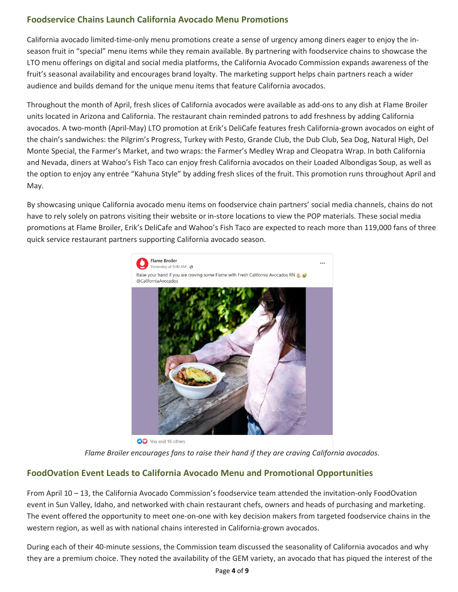# **Foodservice Chains Launch California Avocado Menu Promotions**

California avocado limited-time-only menu promotions create a sense of urgency among diners eager to enjoy the inseason fruit in "special" menu items while they remain available. By partnering with foodservice chains to showcase the LTO menu offerings on digital and social media platforms, the California Avocado Commission expands awareness of the fruit's seasonal availability and encourages brand loyalty. The marketing support helps chain partners reach a wider audience and builds demand for the unique menu items that feature California avocados.

Throughout the month of April, fresh slices of California avocados were available as add-ons to any dish at Flame Broiler units located in Arizona and California. The restaurant chain reminded patrons to add freshness by adding California avocados. A two-month (April-May) LTO promotion at Erik's DeliCafe features fresh California-grown avocados on eight of the chain's sandwiches: the Pilgrim's Progress, Turkey with Pesto, Grande Club, the Dub Club, Sea Dog, Natural High, Del Monte Special, the Farmer's Market, and two wraps: the Farmer's Medley Wrap and Cleopatra Wrap. In both California and Nevada, diners at Wahoo's Fish Taco can enjoy fresh California avocados on their Loaded Albondigas Soup, as well as the option to enjoy any entrée "Kahuna Style" by adding fresh slices of the fruit. This promotion runs throughout April and May.

By showcasing unique California avocado menu items on foodservice chain partners' social media channels, chains do not have to rely solely on patrons visiting their website or in-store locations to view the POP materials. These social media promotions at Flame Broiler, Erik's DeliCafe and Wahoo's Fish Taco are expected to reach more than 119,000 fans of three quick service restaurant partners supporting California avocado season.



OO You and 18 others

*Flame Broiler encourages fans to raise their hand if they are craving California avocados.*

# **FoodOvation Event Leads to California Avocado Menu and Promotional Opportunities**

From April 10 – 13, the California Avocado Commission's foodservice team attended the invitation-only FoodOvation event in Sun Valley, Idaho, and networked with chain restaurant chefs, owners and heads of purchasing and marketing. The event offered the opportunity to meet one-on-one with key decision makers from targeted foodservice chains in the western region, as well as with national chains interested in California-grown avocados.

During each of their 40-minute sessions, the Commission team discussed the seasonality of California avocados and why they are a premium choice. They noted the availability of the GEM variety, an avocado that has piqued the interest of the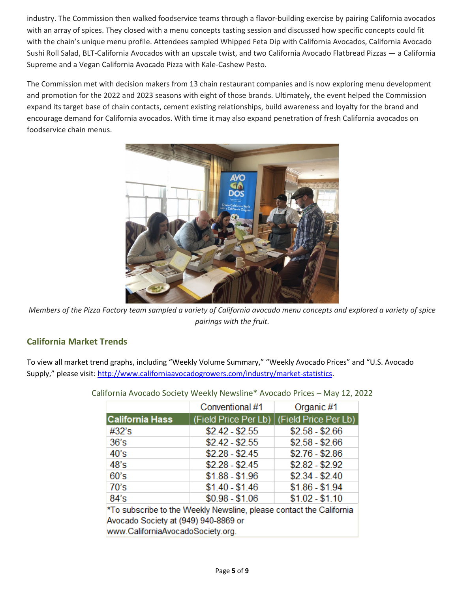industry. The Commission then walked foodservice teams through a flavor-building exercise by pairing California avocados with an array of spices. They closed with a menu concepts tasting session and discussed how specific concepts could fit with the chain's unique menu profile. Attendees sampled Whipped Feta Dip with California Avocados, California Avocado Sushi Roll Salad, BLT-California Avocados with an upscale twist, and two California Avocado Flatbread Pizzas — a California Supreme and a Vegan California Avocado Pizza with Kale-Cashew Pesto.

The Commission met with decision makers from 13 chain restaurant companies and is now exploring menu development and promotion for the 2022 and 2023 seasons with eight of those brands. Ultimately, the event helped the Commission expand its target base of chain contacts, cement existing relationships, build awareness and loyalty for the brand and encourage demand for California avocados. With time it may also expand penetration of fresh California avocados on foodservice chain menus.



*Members of the Pizza Factory team sampled a variety of California avocado menu concepts and explored a variety of spice pairings with the fruit.*

# <span id="page-4-0"></span>**California Market Trends**

To view all market trend graphs, including "Weekly Volume Summary," "Weekly Avocado Prices" and "U.S. Avocado Supply," please visit[: http://www.californiaavocadogrowers.com/industry/market-statistics.](http://www.californiaavocadogrowers.com/industry/market-statistics)

|                                                                        | Conventional #1 | Organic #1                                  |  |  |  |  |
|------------------------------------------------------------------------|-----------------|---------------------------------------------|--|--|--|--|
| <b>California Hass</b>                                                 |                 | (Field Price Per Lb)   (Field Price Per Lb) |  |  |  |  |
| #32's                                                                  | $$2.42 - $2.55$ | $$2.58 - $2.66$                             |  |  |  |  |
| 36's                                                                   | $$2.42 - $2.55$ | $$2.58 - $2.66$                             |  |  |  |  |
| 40's                                                                   | $$2.28 - $2.45$ | $$2.76 - $2.86$                             |  |  |  |  |
| 48's                                                                   | $$2.28 - $2.45$ | $$2.82 - $2.92$                             |  |  |  |  |
| 60's                                                                   | $$1.88 - $1.96$ | $$2.34 - $2.40$                             |  |  |  |  |
| 70's                                                                   | $$1.40 - $1.46$ | $$1.86 - $1.94$                             |  |  |  |  |
| 84's                                                                   | $$0.98 - $1.06$ | $$1.02 - $1.10$                             |  |  |  |  |
| $*T_2$ ouboariba to the Weakly Nougling integer contact the Colifornia |                 |                                             |  |  |  |  |

California Avocado Society Weekly Newsline\* Avocado Prices – May 12, 2022

To subscribe to the Weekly Newsline, please contact the California. Avocado Society at (949) 940-8869 or www.CaliforniaAvocadoSociety.org.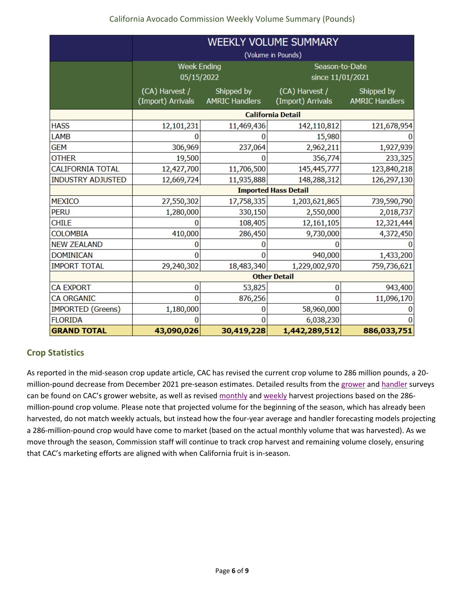|                          | <b>WEEKLY VOLUME SUMMARY</b>        |                                     |                                     |                                     |  |  |  |
|--------------------------|-------------------------------------|-------------------------------------|-------------------------------------|-------------------------------------|--|--|--|
|                          | (Volume in Pounds)                  |                                     |                                     |                                     |  |  |  |
|                          | <b>Week Ending</b>                  |                                     | Season-to-Date                      |                                     |  |  |  |
|                          | 05/15/2022                          |                                     | since 11/01/2021                    |                                     |  |  |  |
|                          | (CA) Harvest /<br>(Import) Arrivals | Shipped by<br><b>AMRIC Handlers</b> | (CA) Harvest /<br>(Import) Arrivals | Shipped by<br><b>AMRIC Handlers</b> |  |  |  |
|                          | <b>California Detail</b>            |                                     |                                     |                                     |  |  |  |
| <b>HASS</b>              | 12,101,231                          | 11,469,436                          | 142,110,812                         | 121,678,954                         |  |  |  |
| <b>LAMB</b>              | 0                                   |                                     | 15,980                              |                                     |  |  |  |
| <b>GEM</b>               | 306,969                             | 237,064                             | 2,962,211                           | 1,927,939                           |  |  |  |
| <b>OTHER</b>             | 19,500                              | n                                   | 356,774                             | 233,325                             |  |  |  |
| <b>CALIFORNIA TOTAL</b>  | 12,427,700                          | 11,706,500                          | 145,445,777                         | 123,840,218                         |  |  |  |
| <b>INDUSTRY ADJUSTED</b> | 12,669,724                          | 11,935,888                          | 148,288,312                         | 126,297,130                         |  |  |  |
|                          | <b>Imported Hass Detail</b>         |                                     |                                     |                                     |  |  |  |
| <b>MEXICO</b>            | 27,550,302                          | 17,758,335                          | 1,203,621,865                       | 739,590,790                         |  |  |  |
| <b>PERU</b>              | 1,280,000                           | 330,150                             | 2,550,000                           | 2,018,737                           |  |  |  |
| <b>CHILE</b>             | 0                                   | 108,405                             | 12,161,105                          | 12,321,444                          |  |  |  |
| <b>COLOMBIA</b>          | 410,000                             | 286,450                             | 9,730,000                           | 4,372,450                           |  |  |  |
| <b>NEW ZEALAND</b>       | 0                                   | O                                   |                                     |                                     |  |  |  |
| <b>DOMINICAN</b>         | 0                                   | 0                                   | 940,000                             | 1,433,200                           |  |  |  |
| <b>IMPORT TOTAL</b>      | 29,240,302                          | 18,483,340                          | 1,229,002,970<br>759,736,621        |                                     |  |  |  |
|                          | <b>Other Detail</b>                 |                                     |                                     |                                     |  |  |  |
| <b>CA EXPORT</b>         | $\bf{0}$                            | 53,825                              | $\bf{0}$                            | 943,400                             |  |  |  |
| <b>CA ORGANIC</b>        | $\overline{0}$                      | 876,256                             | 11,096,170<br>$\Omega$              |                                     |  |  |  |
| <b>IMPORTED (Greens)</b> | 1,180,000                           | 0                                   | 58,960,000                          |                                     |  |  |  |
| <b>FLORIDA</b>           | O                                   | 0                                   | 6,038,230                           |                                     |  |  |  |
| <b>GRAND TOTAL</b>       | 43,090,026                          | 30,419,228                          | 1,442,289,512                       | 886,033,751                         |  |  |  |

# <span id="page-5-0"></span>**Crop Statistics**

As reported in the mid-season crop update article, CAC has revised the current crop volume to 286 million pounds, a 20 million-pound decrease from December 2021 pre-season estimates. Detailed results from th[e grower](https://www.californiaavocadogrowers.com/sites/default/files/2022-Mid-Season-Crop-Survey-Results.pdf) and [handler](https://www.californiaavocadogrowers.com/sites/default/files/AMRIC-Handler-Survey-Results-2022.pdf) surveys can be found on CAC's grower website, as well as revised [monthly](https://www.californiaavocadogrowers.com/industry/crop-statistics/current-crop-estimates) an[d weekly](https://www.californiaavocadogrowers.com/industry/crop-statistics/weekly-crop-projections) harvest projections based on the 286million-pound crop volume. Please note that projected volume for the beginning of the season, which has already been harvested, do not match weekly actuals, but instead how the four-year average and handler forecasting models projecting a 286-million-pound crop would have come to market (based on the actual monthly volume that was harvested). As we move through the season, Commission staff will continue to track crop harvest and remaining volume closely, ensuring that CAC's marketing efforts are aligned with when California fruit is in-season.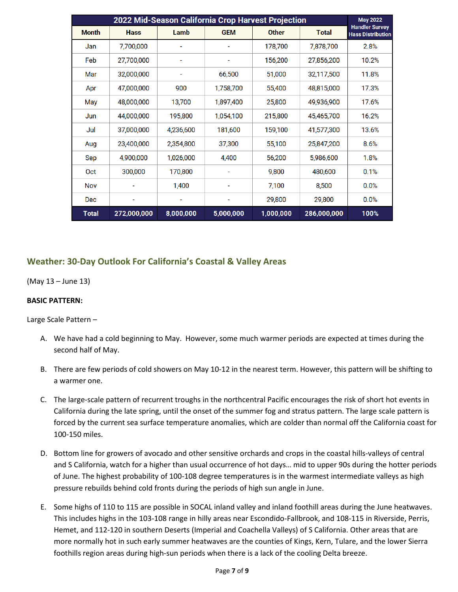| 2022 Mid-Season California Crop Harvest Projection |             |           |            |              |              | <b>May 2022</b>                                   |  |
|----------------------------------------------------|-------------|-----------|------------|--------------|--------------|---------------------------------------------------|--|
| <b>Month</b>                                       | <b>Hass</b> | Lamb      | <b>GEM</b> | <b>Other</b> | <b>Total</b> | <b>Handler Survey</b><br><b>Hass Distribution</b> |  |
| Jan                                                | 7,700,000   |           |            | 178,700      | 7,878,700    | 2.8%                                              |  |
| Feb                                                | 27,700,000  | ۰         | ٠          | 156,200      | 27,856,200   | 10.2%                                             |  |
| Mar                                                | 32,000,000  |           | 66,500     | 51,000       | 32,117,500   | 11.8%                                             |  |
| Apr                                                | 47,000,000  | 900       | 1,758,700  | 55,400       | 48,815,000   | 17.3%                                             |  |
| May                                                | 48,000,000  | 13,700    | 1,897,400  | 25,800       | 49,936,900   | 17.6%                                             |  |
| Jun                                                | 44,000,000  | 195,800   | 1,054,100  | 215,800      | 45,465,700   | 16.2%                                             |  |
| Jul                                                | 37,000,000  | 4,236,600 | 181,600    | 159,100      | 41,577,300   | 13.6%                                             |  |
| Aug                                                | 23,400,000  | 2,354,800 | 37,300     | 55,100       | 25,847,200   | 8.6%                                              |  |
| Sep                                                | 4,900,000   | 1,026,000 | 4,400      | 56,200       | 5,986,600    | 1.8%                                              |  |
| Oct                                                | 300,000     | 170,800   |            | 9,800        | 480,600      | 0.1%                                              |  |
| <b>Nov</b>                                         |             | 1,400     | ۰          | 7,100        | 8,500        | 0.0%                                              |  |
| <b>Dec</b>                                         |             |           |            | 29,800       | 29,800       | 0.0%                                              |  |
| Total                                              | 272,000,000 | 8,000,000 | 5,000,000  | 1,000,000    | 286,000,000  | 100%                                              |  |

# <span id="page-6-0"></span>**Weather: 30-Day Outlook For California's Coastal & Valley Areas**

(May 13 – June 13)

### **BASIC PATTERN:**

Large Scale Pattern –

- A. We have had a cold beginning to May. However, some much warmer periods are expected at times during the second half of May.
- B. There are few periods of cold showers on May 10-12 in the nearest term. However, this pattern will be shifting to a warmer one.
- C. The large-scale pattern of recurrent troughs in the northcentral Pacific encourages the risk of short hot events in California during the late spring, until the onset of the summer fog and stratus pattern. The large scale pattern is forced by the current sea surface temperature anomalies, which are colder than normal off the California coast for 100-150 miles.
- D. Bottom line for growers of avocado and other sensitive orchards and crops in the coastal hills-valleys of central and S California, watch for a higher than usual occurrence of hot days… mid to upper 90s during the hotter periods of June. The highest probability of 100-108 degree temperatures is in the warmest intermediate valleys as high pressure rebuilds behind cold fronts during the periods of high sun angle in June.
- E. Some highs of 110 to 115 are possible in SOCAL inland valley and inland foothill areas during the June heatwaves. This includes highs in the 103-108 range in hilly areas near Escondido-Fallbrook, and 108-115 in Riverside, Perris, Hemet, and 112-120 in southern Deserts (Imperial and Coachella Valleys) of S California. Other areas that are more normally hot in such early summer heatwaves are the counties of Kings, Kern, Tulare, and the lower Sierra foothills region areas during high-sun periods when there is a lack of the cooling Delta breeze.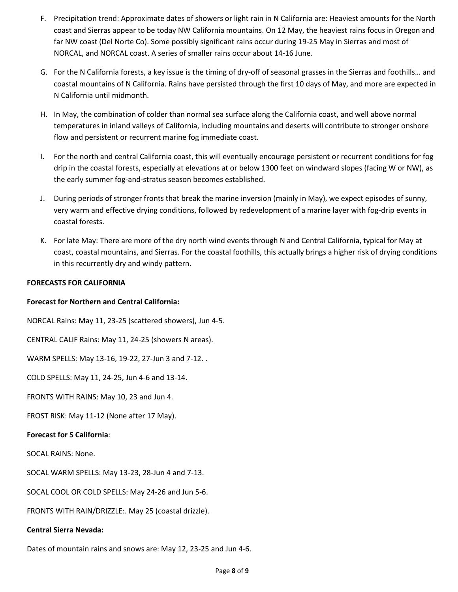- F. Precipitation trend: Approximate dates of showers or light rain in N California are: Heaviest amounts for the North coast and Sierras appear to be today NW California mountains. On 12 May, the heaviest rains focus in Oregon and far NW coast (Del Norte Co). Some possibly significant rains occur during 19-25 May in Sierras and most of NORCAL, and NORCAL coast. A series of smaller rains occur about 14-16 June.
- G. For the N California forests, a key issue is the timing of dry-off of seasonal grasses in the Sierras and foothills… and coastal mountains of N California. Rains have persisted through the first 10 days of May, and more are expected in N California until midmonth.
- H. In May, the combination of colder than normal sea surface along the California coast, and well above normal temperatures in inland valleys of California, including mountains and deserts will contribute to stronger onshore flow and persistent or recurrent marine fog immediate coast.
- I. For the north and central California coast, this will eventually encourage persistent or recurrent conditions for fog drip in the coastal forests, especially at elevations at or below 1300 feet on windward slopes (facing W or NW), as the early summer fog-and-stratus season becomes established.
- J. During periods of stronger fronts that break the marine inversion (mainly in May), we expect episodes of sunny, very warm and effective drying conditions, followed by redevelopment of a marine layer with fog-drip events in coastal forests.
- K. For late May: There are more of the dry north wind events through N and Central California, typical for May at coast, coastal mountains, and Sierras. For the coastal foothills, this actually brings a higher risk of drying conditions in this recurrently dry and windy pattern.

## **FORECASTS FOR CALIFORNIA**

### **Forecast for Northern and Central California:**

NORCAL Rains: May 11, 23-25 (scattered showers), Jun 4-5.

CENTRAL CALIF Rains: May 11, 24-25 (showers N areas).

WARM SPELLS: May 13-16, 19-22, 27-Jun 3 and 7-12. .

COLD SPELLS: May 11, 24-25, Jun 4-6 and 13-14.

FRONTS WITH RAINS: May 10, 23 and Jun 4.

FROST RISK: May 11-12 (None after 17 May).

### **Forecast for S California**:

SOCAL RAINS: None.

SOCAL WARM SPELLS: May 13-23, 28-Jun 4 and 7-13.

SOCAL COOL OR COLD SPELLS: May 24-26 and Jun 5-6.

FRONTS WITH RAIN/DRIZZLE:. May 25 (coastal drizzle).

### **Central Sierra Nevada:**

Dates of mountain rains and snows are: May 12, 23-25 and Jun 4-6.